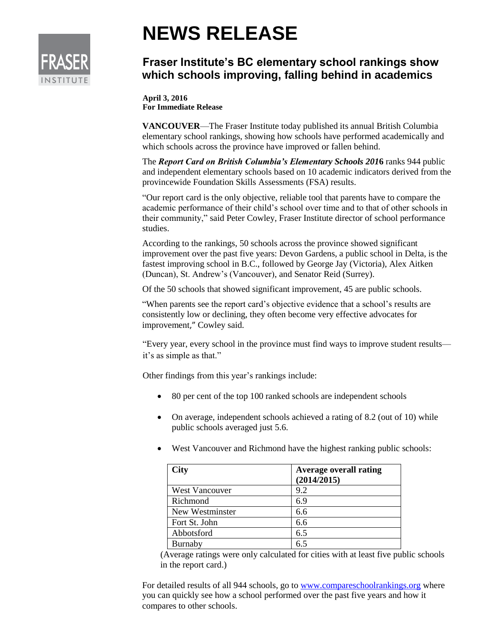

## **NEWS RELEASE**

## **Fraser Institute's BC elementary school rankings show which schools improving, falling behind in academics**

**April 3, 2016 For Immediate Release**

**VANCOUVER**—The Fraser Institute today published its annual British Columbia elementary school rankings, showing how schools have performed academically and which schools across the province have improved or fallen behind.

The *Report Card on British Columbia's Elementary Schools 201***6** ranks 944 public and independent elementary schools based on 10 academic indicators derived from the provincewide Foundation Skills Assessments (FSA) results.

"Our report card is the only objective, reliable tool that parents have to compare the academic performance of their child's school over time and to that of other schools in their community," said Peter Cowley, Fraser Institute director of school performance studies.

According to the rankings, 50 schools across the province showed significant improvement over the past five years: Devon Gardens, a public school in Delta, is the fastest improving school in B.C., followed by George Jay (Victoria), Alex Aitken (Duncan), St. Andrew's (Vancouver), and Senator Reid (Surrey).

Of the 50 schools that showed significant improvement, 45 are public schools.

"When parents see the report card's objective evidence that a school's results are consistently low or declining, they often become very effective advocates for improvement," Cowley said.

"Every year, every school in the province must find ways to improve student results it's as simple as that."

Other findings from this year's rankings include:

- 80 per cent of the top 100 ranked schools are independent schools
- On average, independent schools achieved a rating of 8.2 (out of 10) while public schools averaged just 5.6.
- West Vancouver and Richmond have the highest ranking public schools:

| City                  | <b>Average overall rating</b><br>(2014/2015) |
|-----------------------|----------------------------------------------|
| <b>West Vancouver</b> | 9.2                                          |
| Richmond              | 6.9                                          |
| New Westminster       | 6.6                                          |
| Fort St. John         | 6.6                                          |
| Abbotsford            | 6.5                                          |
| Burnaby               | 6.5                                          |

(Average ratings were only calculated for cities with at least five public schools in the report card.)

For detailed results of all 944 schools, go to [www.compareschoolrankings.org](http://www.compareschoolrankings.org/) where you can quickly see how a school performed over the past five years and how it compares to other schools.